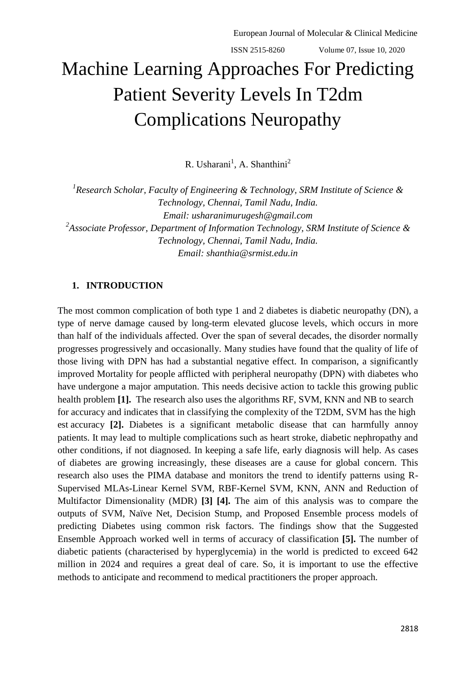# Machine Learning Approaches For Predicting Patient Severity Levels In T2dm Complications Neuropathy

R. Usharani<sup>1</sup>, A. Shanthini<sup>2</sup>

*1 Research Scholar, Faculty of Engineering & Technology, SRM Institute of Science & Technology, Chennai, Tamil Nadu, India. Email: [usharanimurugesh@gmail.com](mailto:usharanimurugesh@gmail.com) 2 Associate Professor, Department of Information Technology, SRM Institute of Science & Technology, Chennai, Tamil Nadu, India. Email: [shanthia@srmist.edu.in](mailto:shanthia@srmist.edu.in)*

## **1. INTRODUCTION**

The most common complication of both type 1 and 2 diabetes is diabetic neuropathy (DN), a type of nerve damage caused by long-term elevated glucose levels, which occurs in more than half of the individuals affected. Over the span of several decades, the disorder normally progresses progressively and occasionally. Many studies have found that the quality of life of those living with DPN has had a substantial negative effect. In comparison, a significantly improved Mortality for people afflicted with peripheral neuropathy (DPN) with diabetes who have undergone a major amputation. This needs decisive action to tackle this growing public health problem **[1].** The research also uses the algorithms RF, SVM, KNN and NB to search for accuracy and indicates that in classifying the complexity of the T2DM, SVM has the high est accuracy **[2].** Diabetes is a significant metabolic disease that can harmfully annoy patients. It may lead to multiple complications such as heart stroke, diabetic nephropathy and other conditions, if not diagnosed. In keeping a safe life, early diagnosis will help. As cases of diabetes are growing increasingly, these diseases are a cause for global concern. This research also uses the PIMA database and monitors the trend to identify patterns using R-Supervised MLAs-Linear Kernel SVM, RBF-Kernel SVM, KNN, ANN and Reduction of Multifactor Dimensionality (MDR) **[3] [4].** The aim of this analysis was to compare the outputs of SVM, Naïve Net, Decision Stump, and Proposed Ensemble process models of predicting Diabetes using common risk factors. The findings show that the Suggested Ensemble Approach worked well in terms of accuracy of classification **[5].** The number of diabetic patients (characterised by hyperglycemia) in the world is predicted to exceed 642 million in 2024 and requires a great deal of care. So, it is important to use the effective methods to anticipate and recommend to medical practitioners the proper approach.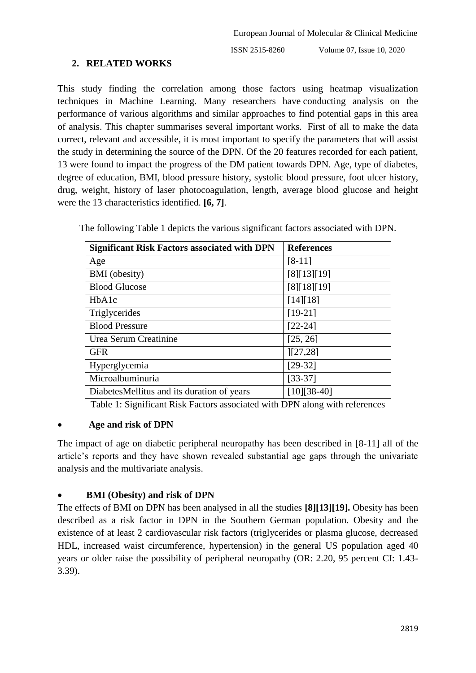## **2. RELATED WORKS**

This study finding the correlation among those factors using heatmap visualization techniques in Machine Learning. Many researchers have conducting analysis on the performance of various algorithms and similar approaches to find potential gaps in this area of analysis. This chapter summarises several important works. First of all to make the data correct, relevant and accessible, it is most important to specify the parameters that will assist the study in determining the source of the DPN. Of the 20 features recorded for each patient, 13 were found to impact the progress of the DM patient towards DPN. Age, type of diabetes, degree of education, BMI, blood pressure history, systolic blood pressure, foot ulcer history, drug, weight, history of laser photocoagulation, length, average blood glucose and height were the 13 characteristics identified. **[6, 7]**.

| <b>Significant Risk Factors associated with DPN</b> | <b>References</b> |
|-----------------------------------------------------|-------------------|
| Age                                                 | $[8-11]$          |
| <b>BMI</b> (obesity)                                | [8][13][19]       |
| <b>Blood Glucose</b>                                | [8][18][19]       |
| HbA1c                                               | [14][18]          |
| Triglycerides                                       | $[19-21]$         |
| <b>Blood Pressure</b>                               | $[22-24]$         |
| Urea Serum Creatinine                               | [25, 26]          |
| <b>GFR</b>                                          | [27,28]           |
| Hyperglycemia                                       | $[29-32]$         |
| Microalbuminuria                                    | $[33-37]$         |
| DiabetesMellitus and its duration of years          | $[10][38-40]$     |

The following Table 1 depicts the various significant factors associated with DPN.

Table 1: Significant Risk Factors associated with DPN along with references

#### **Age and risk of DPN**

The impact of age on diabetic peripheral neuropathy has been described in [8-11] all of the article's reports and they have shown revealed substantial age gaps through the univariate analysis and the multivariate analysis.

#### **BMI (Obesity) and risk of DPN**

The effects of BMI on DPN has been analysed in all the studies **[8][13][19].** Obesity has been described as a risk factor in DPN in the Southern German population. Obesity and the existence of at least 2 cardiovascular risk factors (triglycerides or plasma glucose, decreased HDL, increased waist circumference, hypertension) in the general US population aged 40 years or older raise the possibility of peripheral neuropathy (OR: 2.20, 95 percent CI: 1.43- 3.39).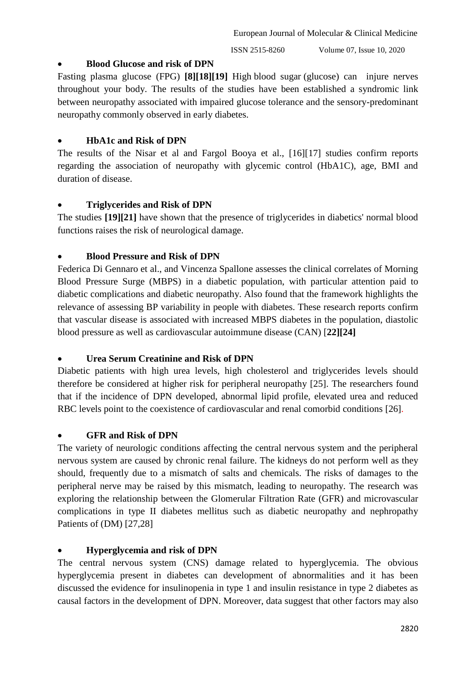#### **Blood Glucose and risk of DPN**

Fasting plasma glucose (FPG) **[8][18][19]** High blood sugar (glucose) can injure nerves throughout your body. The results of the studies have been established a syndromic link between neuropathy associated with impaired glucose tolerance and the sensory-predominant neuropathy commonly observed in early diabetes.

## **HbA1c and Risk of DPN**

The results of the Nisar et al and Fargol Booya et al., [16][17] studies confirm reports regarding the association of neuropathy with glycemic control (HbA1C), age, BMI and duration of disease.

## **Triglycerides and Risk of DPN**

The studies **[19][21]** have shown that the presence of triglycerides in diabetics' normal blood functions raises the risk of neurological damage.

## **Blood Pressure and Risk of DPN**

Federica Di Gennaro et al., and Vincenza Spallone assesses the clinical correlates of Morning Blood Pressure Surge (MBPS) in a diabetic population, with particular attention paid to diabetic complications and diabetic neuropathy. Also found that the framework highlights the relevance of assessing BP variability in people with diabetes. These research reports confirm that vascular disease is associated with increased MBPS diabetes in the population, diastolic blood pressure as well as cardiovascular autoimmune disease (CAN) [**22][24]**

## **Urea Serum Creatinine and Risk of DPN**

Diabetic patients with high urea levels, high cholesterol and triglycerides levels should therefore be considered at higher risk for peripheral neuropathy [25]. The researchers found that if the incidence of DPN developed, abnormal lipid profile, elevated urea and reduced RBC levels point to the coexistence of cardiovascular and renal comorbid conditions [26].

## **GFR and Risk of DPN**

The variety of neurologic conditions affecting the central nervous system and the peripheral nervous system are caused by chronic renal failure. The kidneys do not perform well as they should, frequently due to a mismatch of salts and chemicals. The risks of damages to the peripheral nerve may be raised by this mismatch, leading to neuropathy. The research was exploring the relationship between the Glomerular Filtration Rate (GFR) and microvascular complications in type II diabetes mellitus such as diabetic neuropathy and nephropathy Patients of (DM) [27,28]

## **Hyperglycemia and risk of DPN**

The central nervous system (CNS) damage related to hyperglycemia. The obvious hyperglycemia present in diabetes can development of abnormalities and it has been discussed the evidence for insulinopenia in type 1 and insulin resistance in type 2 diabetes as causal factors in the development of DPN. Moreover, data suggest that other factors may also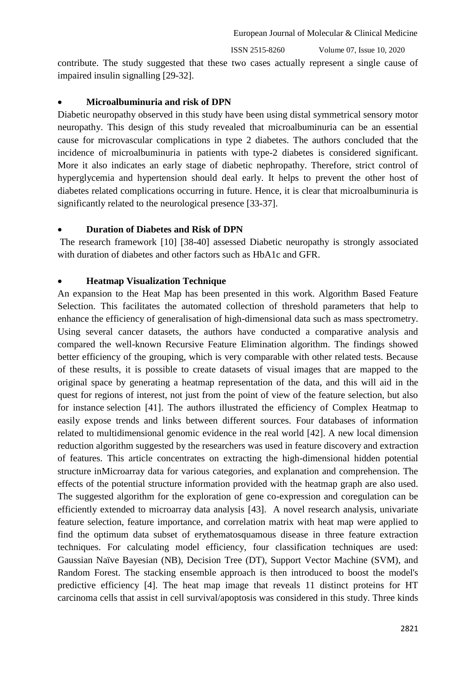ISSN 2515-8260 Volume 07, Issue 10, 2020

contribute. The study suggested that these two cases actually represent a single cause of impaired insulin signalling [29-32].

#### **Microalbuminuria and risk of DPN**

Diabetic neuropathy observed in this study have been using distal symmetrical sensory motor neuropathy. This design of this study revealed that microalbuminuria can be an essential cause for microvascular complications in type 2 diabetes. The authors concluded that the incidence of microalbuminuria in patients with type-2 diabetes is considered significant. More it also indicates an early stage of diabetic nephropathy. Therefore, strict control of hyperglycemia and hypertension should deal early. It helps to prevent the other host of diabetes related complications occurring in future. Hence, it is clear that microalbuminuria is significantly related to the neurological presence [33-37].

#### **Duration of Diabetes and Risk of DPN**

The research framework [10] [38-40] assessed Diabetic neuropathy is strongly associated with duration of diabetes and other factors such as HbA1c and GFR.

#### **Heatmap Visualization Technique**

An expansion to the Heat Map has been presented in this work. Algorithm Based Feature Selection. This facilitates the automated collection of threshold parameters that help to enhance the efficiency of generalisation of high-dimensional data such as mass spectrometry. Using several cancer datasets, the authors have conducted a comparative analysis and compared the well-known Recursive Feature Elimination algorithm. The findings showed better efficiency of the grouping, which is very comparable with other related tests. Because of these results, it is possible to create datasets of visual images that are mapped to the original space by generating a heatmap representation of the data, and this will aid in the quest for regions of interest, not just from the point of view of the feature selection, but also for instance selection [41]. The authors illustrated the efficiency of Complex Heatmap to easily expose trends and links between different sources. Four databases of information related to multidimensional genomic evidence in the real world [42]. A new local dimension reduction algorithm suggested by the researchers was used in feature discovery and extraction of features. This article concentrates on extracting the high-dimensional hidden potential structure inMicroarray data for various categories, and explanation and comprehension. The effects of the potential structure information provided with the heatmap graph are also used. The suggested algorithm for the exploration of gene co-expression and coregulation can be efficiently extended to microarray data analysis [43]. A novel research analysis, univariate feature selection, feature importance, and correlation matrix with heat map were applied to find the optimum data subset of erythematosquamous disease in three feature extraction techniques. For calculating model efficiency, four classification techniques are used: Gaussian Naïve Bayesian (NB), Decision Tree (DT), Support Vector Machine (SVM), and Random Forest. The stacking ensemble approach is then introduced to boost the model's predictive efficiency [4]. The heat map image that reveals 11 distinct proteins for HT carcinoma cells that assist in cell survival/apoptosis was considered in this study. Three kinds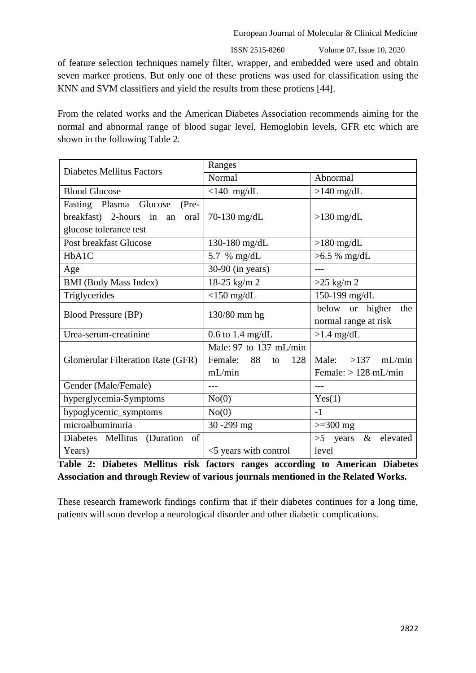ISSN 2515-8260 Volume 07, Issue 10, 2020

of feature selection techniques namely filter, wrapper, and embedded were used and obtain seven marker protiens. But only one of these protiens was used for classification using the KNN and SVM classifiers and yield the results from these protiens [44].

From the related works and the American Diabetes Association recommends aiming for the normal and abnormal range of blood sugar level, Hemoglobin levels, GFR etc which are shown in the following Table 2.

| <b>Diabetes Mellitus Factors</b>         | Ranges                     |                                |  |  |  |
|------------------------------------------|----------------------------|--------------------------------|--|--|--|
|                                          | Normal                     | Abnormal                       |  |  |  |
| <b>Blood Glucose</b>                     | $<$ 140 mg/dL              | $>140$ mg/dL                   |  |  |  |
| Fasting Plasma Glucose<br>$(Pre-$        |                            |                                |  |  |  |
| breakfast) 2-hours in an<br>oral         | $70-130$ mg/dL             | $>130$ mg/dL                   |  |  |  |
| glucose tolerance test                   |                            |                                |  |  |  |
| Post breakfast Glucose                   | 130-180 mg/dL              | $>180$ mg/dL                   |  |  |  |
| HbA1C                                    | 5.7 % mg/dL                | $>6.5 \%$ mg/dL                |  |  |  |
| Age                                      | $30-90$ (in years)         | $---$                          |  |  |  |
| <b>BMI</b> (Body Mass Index)             | 18-25 kg/m 2               | $>25$ kg/m 2                   |  |  |  |
| Triglycerides                            | $<$ 150 mg/dL              | 150-199 mg/dL                  |  |  |  |
| <b>Blood Pressure (BP)</b>               | 130/80 mm hg               | below or higher<br>the         |  |  |  |
|                                          |                            | normal range at risk           |  |  |  |
| Urea-serum-creatinine                    | $0.6$ to 1.4 mg/dL         | $>1.4$ mg/dL                   |  |  |  |
|                                          | Male: 97 to 137 mL/min     |                                |  |  |  |
| <b>Glomerular Filteration Rate (GFR)</b> | Female:<br>88<br>128<br>to | $>137$ mL/min<br>Male:         |  |  |  |
|                                          | mL/min                     | Female: $> 128$ mL/min         |  |  |  |
| Gender (Male/Female)                     | ---                        |                                |  |  |  |
| hyperglycemia-Symptoms                   | No(0)                      | Yes(1)                         |  |  |  |
| hypoglycemic_symptoms                    | No(0)                      | $-1$                           |  |  |  |
| microalbuminuria                         | 30-299 mg                  | $>=$ 300 mg                    |  |  |  |
| Diabetes Mellitus<br>(Duration of        |                            | $\&$<br>elevated<br>$>5$ years |  |  |  |
| Years)                                   | <5 years with control      | level                          |  |  |  |

**Table 2: Diabetes Mellitus risk factors ranges according to American Diabetes Association and through Review of various journals mentioned in the Related Works.**

These research framework findings confirm that if their diabetes continues for a long time, patients will soon develop a neurological disorder and other diabetic complications.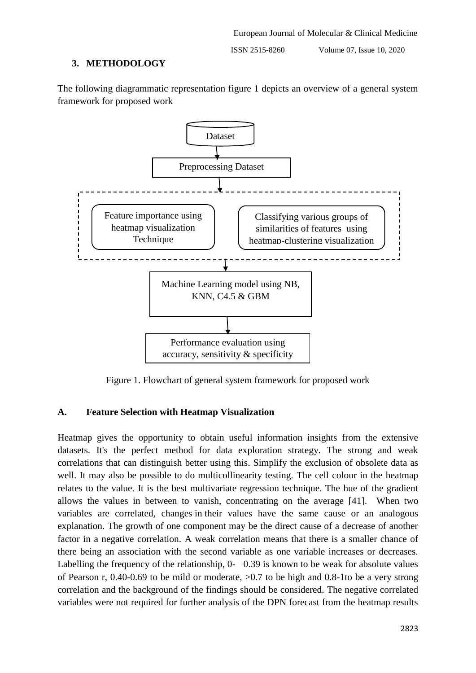## **3. METHODOLOGY**

The following diagrammatic representation figure 1 depicts an overview of a general system framework for proposed work



Figure 1. Flowchart of general system framework for proposed work

# **A. Feature Selection with Heatmap Visualization**

Heatmap gives the opportunity to obtain useful information insights from the extensive datasets. It's the perfect method for data exploration strategy. The strong and weak correlations that can distinguish better using this. Simplify the exclusion of obsolete data as well. It may also be possible to do multicollinearity testing. The cell colour in the heatmap relates to the value. It is the best multivariate regression technique. The hue of the gradient allows the values in between to vanish, concentrating on the average [41]. When two variables are correlated, changes in their values have the same cause or an analogous explanation. The growth of one component may be the direct cause of a decrease of another factor in a negative correlation. A weak correlation means that there is a smaller chance of there being an association with the second variable as one variable increases or decreases. Labelling the frequency of the relationship, 0- 0.39 is known to be weak for absolute values of Pearson r, 0.40-0.69 to be mild or moderate, >0.7 to be high and 0.8-1to be a very strong correlation and the background of the findings should be considered. The negative correlated variables were not required for further analysis of the DPN forecast from the heatmap results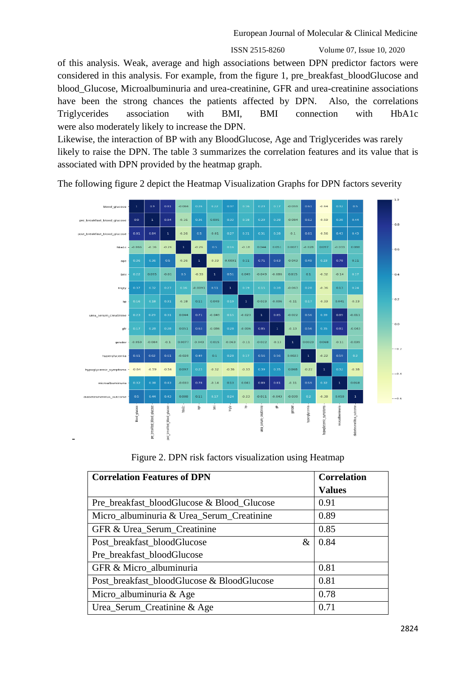ISSN 2515-8260 Volume 07, Issue 10, 2020

of this analysis. Weak, average and high associations between DPN predictor factors were considered in this analysis. For example, from the figure 1, pre\_breakfast\_bloodGlucose and blood\_Glucose, Microalbuminuria and urea-creatinine, GFR and urea-creatinine associations have been the strong chances the patients affected by DPN. Also, the correlations Triglycerides association with BMI, BMI connection with HbA1c were also moderately likely to increase the DPN.

Likewise, the interaction of BP with any BloodGlucose, Age and Triglycerides was rarely likely to raise the DPN. The table 3 summarizes the correlation features and its value that is associated with DPN provided by the heatmap graph.

 $0.16$  $0.095$  $-0.084$  $0.59$  $0.44$  $-0.26$  $-0.01$  $^{0.1}$ st breakfast blood gl  $-0.56$  $-0.18$ 40.033 -0.06  $-0.16$  $0.044$  $0.051$ 0.0077  $-0.028$  $0.097$  $bba1c$  $-0.26$  $0.26$  $0.33$  $.0.26$  $0.0091$  $\overline{0.11}$ 0.043  $0.11$ age  $-0.01$  $0.049$  $\mathbf{0.1}$ bmi 0.095  $-0.33$  $-0.049$  $-0.08$  $0.015$  $-0.32$  $-0.14$  $0.13$ 0.009  $0.36$  $0.063$ trioly  $0.18$  $_{0.11}$  $0.049$  $0.023$  $0.006$  $^{0.11}$  $0.33$  $0.041$  $0.23$  $bp$  $0.044$ .<br>0.011  $0.049$  $-0.023$ 0.022 urea serum creatinine 0.0  $0.13$  $0.051$  $0.086$  $0.006$  $0.043$ gfr  $-0.059$  $\mathbin{{\circ}1}$  $-0.043$  $-0.063$  $-0.11$  $-0.022$  $-0.13$  $-0.11$  $-0.084$ 0.0077 0.015 0.0023 0.068  $-0.039$  $-0.2$  $\alpha_{1}$  $0.22$  $0.028$  $0.36$  $-0.64$  $-0.59$  $-0.56$ 0.097  $-0.32$  $0.33$ 0.068  $-0.22$  $0.38$  $-0.4$  $-0.14$ 0.13  $0.041$  $0.11$ -0.033 0.058  $0.088$  $_{0.11}$  $0.23$  $-0.011$  $-0.043$  $0.38$ 0.058 balc. ę. ġ rigiy - $\overline{\mathbf{z}}$ ś. ender blood glucos pre\_breakfast\_blood\_glucos breakfast blood urea seru -

The following figure 2 depict the Heatmap Visualization Graphs for DPN factors severity

Figure 2. DPN risk factors visualization using Heatmap

| <b>Correlation Features of DPN</b>         | <b>Correlation</b> |
|--------------------------------------------|--------------------|
|                                            | <b>Values</b>      |
| Pre_breakfast_bloodGlucose & Blood_Glucose | 0.91               |
| Micro_albuminuria & Urea_Serum_Creatinine  | 0.89               |
| GFR & Urea_Serum_Creatinine                | 0.85               |
| Post_breakfast_bloodGlucose<br>&           | 0.84               |
| Pre_breakfast_bloodGlucose                 |                    |
| GFR & Micro_albuminuria                    | 0.81               |
| Post breakfast bloodGlucose & BloodGlucose | 0.81               |
| Micro_albuminuria & Age                    | 0.78               |
| Urea_Serum_Creatinine & Age                | 0.71               |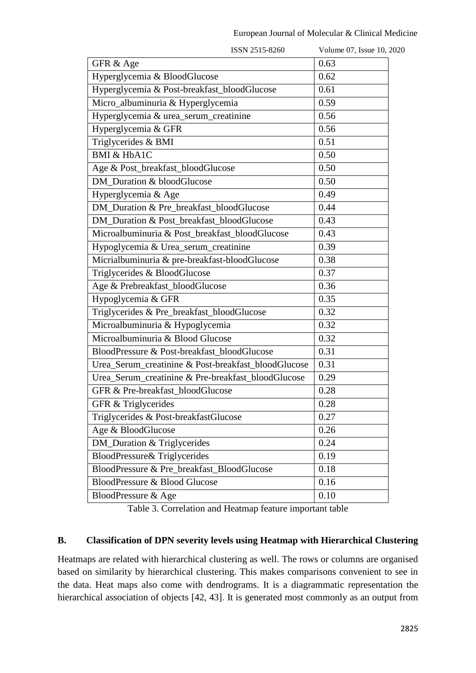| ISSN 2515-8260                                      | Volume 07, Issue 10, 2020 |
|-----------------------------------------------------|---------------------------|
| GFR & Age                                           | 0.63                      |
| Hyperglycemia & BloodGlucose                        | 0.62                      |
| Hyperglycemia & Post-breakfast_bloodGlucose         | 0.61                      |
| Micro_albuminuria & Hyperglycemia                   | 0.59                      |
| Hyperglycemia & urea_serum_creatinine               | 0.56                      |
| Hyperglycemia & GFR                                 | 0.56                      |
| Triglycerides & BMI                                 | 0.51                      |
| <b>BMI &amp; HbA1C</b>                              | 0.50                      |
| Age & Post_breakfast_bloodGlucose                   | 0.50                      |
| DM Duration & bloodGlucose                          | 0.50                      |
| Hyperglycemia & Age                                 | 0.49                      |
| DM_Duration & Pre_breakfast_bloodGlucose            | 0.44                      |
| DM_Duration & Post_breakfast_bloodGlucose           | 0.43                      |
| Microalbuminuria & Post_breakfast_bloodGlucose      | 0.43                      |
| Hypoglycemia & Urea_serum_creatinine                | 0.39                      |
| Micrialbuminuria & pre-breakfast-bloodGlucose       | 0.38                      |
| Triglycerides & BloodGlucose                        | 0.37                      |
| Age & Prebreakfast_bloodGlucose                     | 0.36                      |
| Hypoglycemia & GFR                                  | 0.35                      |
| Triglycerides & Pre_breakfast_bloodGlucose          | 0.32                      |
| Microalbuminuria & Hypoglycemia                     | 0.32                      |
| Microalbuminuria & Blood Glucose                    | 0.32                      |
| BloodPressure & Post-breakfast_bloodGlucose         | 0.31                      |
| Urea_Serum_creatinine & Post-breakfast_bloodGlucose | 0.31                      |
| Urea_Serum_creatinine & Pre-breakfast_bloodGlucose  | 0.29                      |
| GFR & Pre-breakfast_bloodGlucose                    | 0.28                      |
| GFR & Triglycerides                                 | 0.28                      |
| Triglycerides & Post-breakfastGlucose               | 0.27                      |
| Age & BloodGlucose                                  | 0.26                      |
| <b>DM_Duration &amp; Triglycerides</b>              | 0.24                      |
| <b>BloodPressure&amp; Triglycerides</b>             | 0.19                      |
| BloodPressure & Pre_breakfast_BloodGlucose          | 0.18                      |
| <b>BloodPressure &amp; Blood Glucose</b>            | 0.16                      |
| BloodPressure & Age                                 | 0.10                      |
|                                                     |                           |

Table 3. Correlation and Heatmap feature important table

## **B. Classification of DPN severity levels using Heatmap with Hierarchical Clustering**

Heatmaps are related with hierarchical clustering as well. The rows or columns are organised based on similarity by hierarchical clustering. This makes comparisons convenient to see in the data. Heat maps also come with dendrograms. It is a diagrammatic representation the hierarchical association of objects [42, 43]. It is generated most commonly as an output from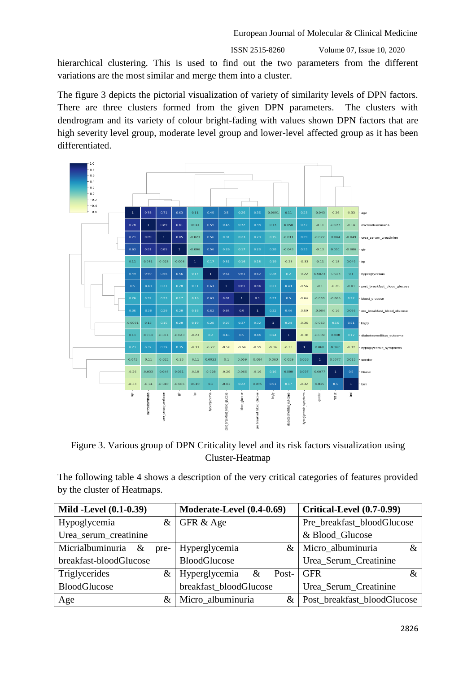hierarchical clustering. This is used to find out the two parameters from the different variations are the most similar and merge them into a cluster.

The figure 3 depicts the pictorial visualization of variety of similarity levels of DPN factors. There are three clusters formed from the given DPN parameters. The clusters with dendrogram and its variety of colour bright-fading with values shown DPN factors that are high severity level group, moderate level group and lower-level affected group as it has been differentiated.



Figure 3. Various group of DPN Criticality level and its risk factors visualization using Cluster-Heatmap

The following table 4 shows a description of the very critical categories of features provided by the cluster of Heatmaps.

| <b>Mild -Level (0.1-0.39)</b> | Moderate-Level (0.4-0.69)   | <b>Critical-Level (0.7-0.99)</b> |  |  |  |
|-------------------------------|-----------------------------|----------------------------------|--|--|--|
| Hypoglycemia<br>&             | GFR & Age                   | Pre_breakfast_bloodGlucose       |  |  |  |
| Urea_serum_creatinine         |                             | & Blood_Glucose                  |  |  |  |
| Micrialbuminuria<br>&<br>pre- | Hyperglycemia<br>&          | Micro_albuminuria<br>&           |  |  |  |
| breakfast-bloodGlucose        | <b>BloodGlucose</b>         | Urea_Serum_Creatinine            |  |  |  |
| Triglycerides<br>$\&$         | Hyperglycemia<br>&<br>Post- | <b>GFR</b>                       |  |  |  |
| <b>BloodGlucose</b>           | breakfast_bloodGlucose      | Urea_Serum_Creatinine            |  |  |  |
| Age<br>&                      | Micro_albuminuria<br>&      | Post_breakfast_bloodGlucose      |  |  |  |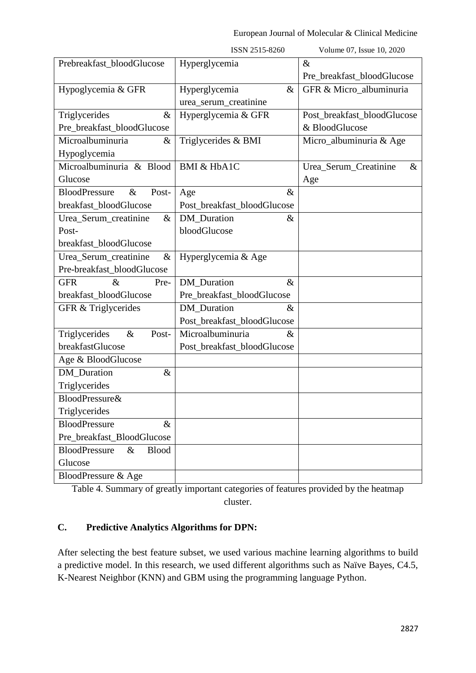|                                              | ISSN 2515-8260              | Volume 07, Issue 10, 2020     |
|----------------------------------------------|-----------------------------|-------------------------------|
| Prebreakfast_bloodGlucose                    | Hyperglycemia               | $\&$                          |
|                                              |                             | Pre_breakfast_bloodGlucose    |
| Hypoglycemia & GFR                           | $\&$<br>Hyperglycemia       | GFR & Micro albuminuria       |
|                                              | urea_serum_creatinine       |                               |
| Triglycerides<br>$\&$                        | Hyperglycemia & GFR         | Post_breakfast_bloodGlucose   |
| Pre_breakfast_bloodGlucose                   |                             | & BloodGlucose                |
| Microalbuminuria<br>$\&$                     | Triglycerides & BMI         | Micro_albuminuria & Age       |
| Hypoglycemia                                 |                             |                               |
| Microalbuminuria & Blood                     | <b>BMI &amp; HbA1C</b>      | Urea_Serum_Creatinine<br>$\&$ |
| Glucose                                      |                             | Age                           |
| <b>BloodPressure</b><br>$\&$<br>Post-        | $\&$<br>Age                 |                               |
| breakfast_bloodGlucose                       | Post_breakfast_bloodGlucose |                               |
| Urea_Serum_creatinine<br>$\&$                | DM_Duration<br>$\&$         |                               |
| Post-                                        | bloodGlucose                |                               |
| breakfast_bloodGlucose                       |                             |                               |
| Urea_Serum_creatinine<br>$\&$                | Hyperglycemia & Age         |                               |
| Pre-breakfast_bloodGlucose                   |                             |                               |
| <b>GFR</b><br>$\&$<br>Pre-                   | DM_Duration<br>$\&$         |                               |
| breakfast_bloodGlucose                       | Pre_breakfast_bloodGlucose  |                               |
| GFR & Triglycerides                          | <b>DM</b> Duration<br>$\&$  |                               |
|                                              | Post_breakfast_bloodGlucose |                               |
| Triglycerides<br>$\&$<br>Post-               | Microalbuminuria<br>$\&$    |                               |
| breakfastGlucose                             | Post_breakfast_bloodGlucose |                               |
| Age & BloodGlucose                           |                             |                               |
| DM_Duration<br>$\&$                          |                             |                               |
| Triglycerides                                |                             |                               |
| <b>BloodPressure&amp;</b>                    |                             |                               |
| Triglycerides                                |                             |                               |
| <b>BloodPressure</b><br>$\&$                 |                             |                               |
| Pre_breakfast_BloodGlucose                   |                             |                               |
| <b>BloodPressure</b><br><b>Blood</b><br>$\&$ |                             |                               |
| Glucose                                      |                             |                               |
| BloodPressure & Age                          |                             |                               |

Table 4. Summary of greatly important categories of features provided by the heatmap cluster.

# **C. Predictive Analytics Algorithms for DPN:**

After selecting the best feature subset, we used various machine learning algorithms to build a predictive model. In this research, we used different algorithms such as Naïve Bayes, C4.5, K-Nearest Neighbor (KNN) and GBM using the programming language Python.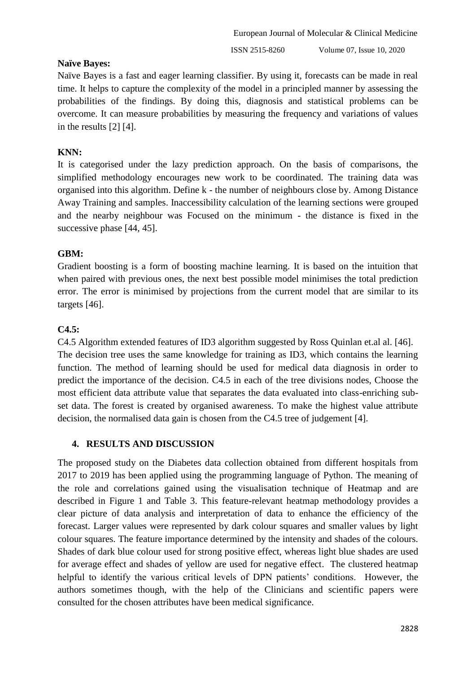# **Naïve Bayes:**

Naïve Bayes is a fast and eager learning classifier. By using it, forecasts can be made in real time. It helps to capture the complexity of the model in a principled manner by assessing the probabilities of the findings. By doing this, diagnosis and statistical problems can be overcome. It can measure probabilities by measuring the frequency and variations of values in the results [2] [4].

# **KNN:**

It is categorised under the lazy prediction approach. On the basis of comparisons, the simplified methodology encourages new work to be coordinated. The training data was organised into this algorithm. Define k - the number of neighbours close by. Among Distance Away Training and samples. Inaccessibility calculation of the learning sections were grouped and the nearby neighbour was Focused on the minimum - the distance is fixed in the successive phase [44, 45].

# **GBM:**

Gradient boosting is a form of boosting machine learning. It is based on the intuition that when paired with previous ones, the next best possible model minimises the total prediction error. The error is minimised by projections from the current model that are similar to its targets [46].

# **C4.5:**

C4.5 Algorithm extended features of ID3 algorithm suggested by Ross Quinlan et.al al. [46]. The decision tree uses the same knowledge for training as ID3, which contains the learning function. The method of learning should be used for medical data diagnosis in order to predict the importance of the decision. C4.5 in each of the tree divisions nodes, Choose the most efficient data attribute value that separates the data evaluated into class-enriching subset data. The forest is created by organised awareness. To make the highest value attribute decision, the normalised data gain is chosen from the C4.5 tree of judgement [4].

## **4. RESULTS AND DISCUSSION**

The proposed study on the Diabetes data collection obtained from different hospitals from 2017 to 2019 has been applied using the programming language of Python. The meaning of the role and correlations gained using the visualisation technique of Heatmap and are described in Figure 1 and Table 3. This feature-relevant heatmap methodology provides a clear picture of data analysis and interpretation of data to enhance the efficiency of the forecast. Larger values were represented by dark colour squares and smaller values by light colour squares. The feature importance determined by the intensity and shades of the colours. Shades of dark blue colour used for strong positive effect, whereas light blue shades are used for average effect and shades of yellow are used for negative effect. The clustered heatmap helpful to identify the various critical levels of DPN patients' conditions. However, the authors sometimes though, with the help of the Clinicians and scientific papers were consulted for the chosen attributes have been medical significance.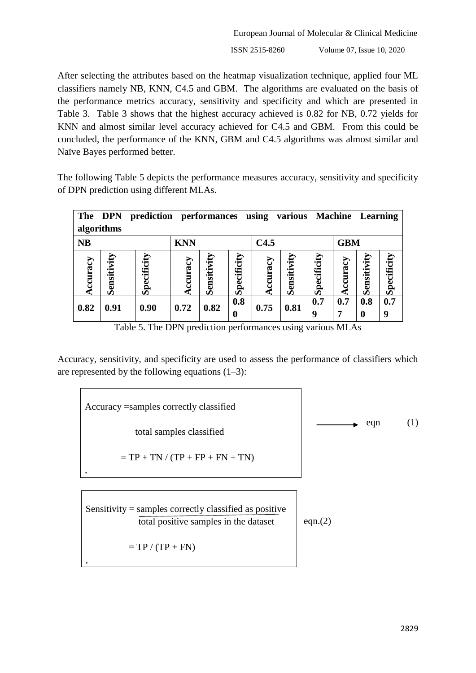European Journal of Molecular & Clinical Medicine ISSN 2515-8260 Volume 07, Issue 10, 2020

After selecting the attributes based on the heatmap visualization technique, applied four ML classifiers namely NB, KNN, C4.5 and GBM. The algorithms are evaluated on the basis of the performance metrics accuracy, sensitivity and specificity and which are presented in Table 3. Table 3 shows that the highest accuracy achieved is 0.82 for NB, 0.72 yields for KNN and almost similar level accuracy achieved for C4.5 and GBM. From this could be concluded, the performance of the KNN, GBM and C4.5 algorithms was almost similar and Naïve Bayes performed better.

The following Table 5 depicts the performance measures accuracy, sensitivity and specificity of DPN prediction using different MLAs.

| The DPN    |             | prediction  |              | performances |                    | using  | various     |                                    | <b>Machine</b> Learning |                    |                    |
|------------|-------------|-------------|--------------|--------------|--------------------|--------|-------------|------------------------------------|-------------------------|--------------------|--------------------|
| algorithms |             |             |              |              |                    |        |             |                                    |                         |                    |                    |
| <b>NB</b>  |             |             | <b>KNN</b>   |              |                    | C4.5   |             |                                    | <b>GBM</b>              |                    |                    |
| curacy     | Sensitivity | Specificity | ccuracy<br>Œ | Sensitivit   | Specificity<br>0.8 | curacy | Sensitivity | cificity<br>S <sub>pe</sub><br>0.7 | ccuracy<br>0.7          | Sensitivity<br>0.8 | Specificity<br>0.7 |
| 0.82       | 0.91        | 0.90        | 0.72         | 0.82         | $\boldsymbol{0}$   | 0.75   | 0.81        | 9                                  | 7                       | $\boldsymbol{0}$   | 9                  |

Table 5. The DPN prediction performances using various MLAs

Accuracy, sensitivity, and specificity are used to assess the performance of classifiers which are represented by the following equations  $(1-3)$ :

$$
Accuracy = samples correctly classified
$$
\n
$$
= TP + TN / (TP + FP + FN + TN)
$$
\n
$$
= TP + TN / (TP + FP + FN + TN)
$$
\n
$$
= \frac{Sensitivity}{total positive samples in the dataset} = \frac{1}{2} \cdot \frac{1}{2} \cdot \frac{1}{2} \cdot \frac{1}{2} \cdot \frac{1}{2} \cdot \frac{1}{2} \cdot \frac{1}{2} \cdot \frac{1}{2} \cdot \frac{1}{2} \cdot \frac{1}{2} \cdot \frac{1}{2} \cdot \frac{1}{2} \cdot \frac{1}{2} \cdot \frac{1}{2} \cdot \frac{1}{2} \cdot \frac{1}{2} \cdot \frac{1}{2} \cdot \frac{1}{2} \cdot \frac{1}{2} \cdot \frac{1}{2} \cdot \frac{1}{2} \cdot \frac{1}{2} \cdot \frac{1}{2} \cdot \frac{1}{2} \cdot \frac{1}{2} \cdot \frac{1}{2} \cdot \frac{1}{2} \cdot \frac{1}{2} \cdot \frac{1}{2} \cdot \frac{1}{2} \cdot \frac{1}{2} \cdot \frac{1}{2} \cdot \frac{1}{2} \cdot \frac{1}{2} \cdot \frac{1}{2} \cdot \frac{1}{2} \cdot \frac{1}{2} \cdot \frac{1}{2} \cdot \frac{1}{2} \cdot \frac{1}{2} \cdot \frac{1}{2} \cdot \frac{1}{2} \cdot \frac{1}{2} \cdot \frac{1}{2} \cdot \frac{1}{2} \cdot \frac{1}{2} \cdot \frac{1}{2} \cdot \frac{1}{2} \cdot \frac{1}{2} \cdot \frac{1}{2} \cdot \frac{1}{2} \cdot \frac{1}{2} \cdot \frac{1}{2} \cdot \frac{1}{2} \cdot \frac{1}{2} \cdot \frac{1}{2} \cdot \frac{1}{2} \cdot \frac{1}{2} \cdot \frac{1}{2} \cdot \frac{1}{2} \cdot \frac{1}{2} \cdot \frac{1}{2} \cdot \frac{1}{2} \cdot \frac{1}{2} \cdot \frac{1}{2} \cdot \frac{1}{2} \cdot \frac{1}{2} \cdot \frac{1}{2} \cdot \frac{1}{2} \cdot \frac{1}{2} \cdot \frac{1}{2} \cdot \frac{1}{2} \cdot \frac{1}{2} \cdot \frac{1}{2} \cdot \frac{1}{2} \cdot \frac{1}{2} \
$$

*,*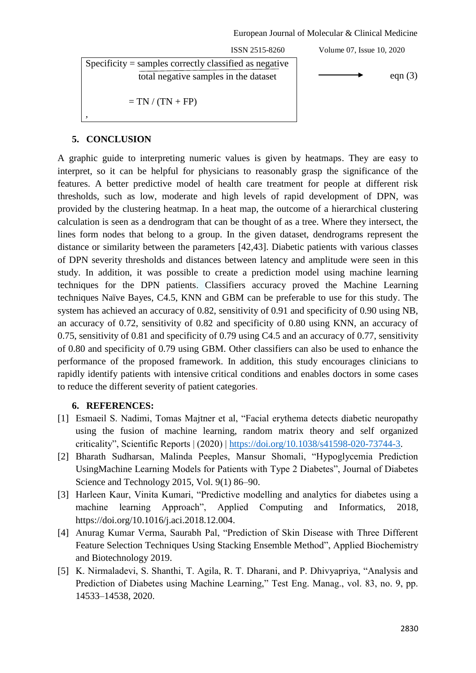ISSN 2515-8260 Volume 07, Issue 10, 2020 total negative samples in the dataset  $\Box$  eqn (3) Specificity  $=$  samples correctly classified as negative  $=$  TN  $/$  (TN  $+$  FP) *,*

## **5. CONCLUSION**

A graphic guide to interpreting numeric values is given by heatmaps. They are easy to interpret, so it can be helpful for physicians to reasonably grasp the significance of the features. A better predictive model of health care treatment for people at different risk thresholds, such as low, moderate and high levels of rapid development of DPN, was provided by the clustering heatmap. In a heat map, the outcome of a hierarchical clustering calculation is seen as a dendrogram that can be thought of as a tree. Where they intersect, the lines form nodes that belong to a group. In the given dataset, dendrograms represent the distance or similarity between the parameters [42,43]. Diabetic patients with various classes of DPN severity thresholds and distances between latency and amplitude were seen in this study. In addition, it was possible to create a prediction model using machine learning techniques for the DPN patients. Classifiers accuracy proved the Machine Learning techniques Naïve Bayes, C4.5, KNN and GBM can be preferable to use for this study. The system has achieved an accuracy of 0.82, sensitivity of 0.91 and specificity of 0.90 using NB, an accuracy of 0.72, sensitivity of 0.82 and specificity of 0.80 using KNN, an accuracy of 0.75, sensitivity of 0.81 and specificity of 0.79 using C4.5 and an accuracy of 0.77, sensitivity of 0.80 and specificity of 0.79 using GBM. Other classifiers can also be used to enhance the performance of the proposed framework. In addition, this study encourages clinicians to rapidly identify patients with intensive critical conditions and enables doctors in some cases to reduce the different severity of patient categories.

## **6. REFERENCES:**

- [1] Esmaeil S. Nadimi, Tomas Majtner et al, "Facial erythema detects diabetic neuropathy using the fusion of machine learning, random matrix theory and self organized criticality‖, Scientific Reports | (2020) | [https://doi.org/10.1038/s41598-020-73744-3.](https://doi.org/10.1038/s41598-020-73744-3)
- [2] Bharath Sudharsan, Malinda Peeples, Mansur Shomali, "Hypoglycemia Prediction UsingMachine Learning Models for Patients with Type 2 Diabetes", Journal of Diabetes Science and Technology 2015, Vol. 9(1) 86–90.
- [3] Harleen Kaur, Vinita Kumari, "Predictive modelling and analytics for diabetes using a machine learning Approach", Applied Computing and Informatics, 2018, [https://doi.org/10.1016/j.aci.2018.12.004.](https://doi.org/10.1016/j.aci.2018.12.004)
- [4] Anurag Kumar Verma, Saurabh Pal, "Prediction of Skin Disease with Three Different Feature Selection Techniques Using Stacking Ensemble Method", Applied Biochemistry and Biotechnology 2019.
- [5] K. Nirmaladevi, S. Shanthi, T. Agila, R. T. Dharani, and P. Dhivyapriya, "Analysis and Prediction of Diabetes using Machine Learning," Test Eng. Manag., vol. 83, no. 9, pp. 14533–14538, 2020.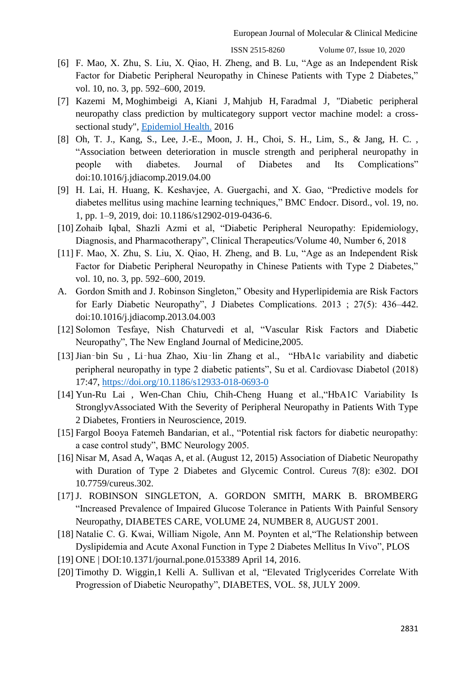- [6] F. Mao, X. Zhu, S. Liu, X. Qiao, H. Zheng, and B. Lu, "Age as an Independent Risk Factor for Diabetic Peripheral Neuropathy in Chinese Patients with Type 2 Diabetes," vol. 10, no. 3, pp. 592–600, 2019.
- [7] [Kazemi M,](https://www.ncbi.nlm.nih.gov/pubmed/?term=Kazemi%20M%5BAuthor%5D&cauthor=true&cauthor_uid=27032459) [Moghimbeigi A,](https://www.ncbi.nlm.nih.gov/pubmed/?term=Moghimbeigi%20A%5BAuthor%5D&cauthor=true&cauthor_uid=27032459) [Kiani J,](https://www.ncbi.nlm.nih.gov/pubmed/?term=Kiani%20J%5BAuthor%5D&cauthor=true&cauthor_uid=27032459) [Mahjub H,](https://www.ncbi.nlm.nih.gov/pubmed/?term=Mahjub%20H%5BAuthor%5D&cauthor=true&cauthor_uid=27032459) [Faradmal J,](https://www.ncbi.nlm.nih.gov/pubmed/?term=Faradmal%20J%5BAuthor%5D&cauthor=true&cauthor_uid=27032459) "Diabetic peripheral neuropathy class prediction by multicategory support vector machine model: a crosssectional study", [Epidemiol Health.](https://www.ncbi.nlm.nih.gov/pubmed/27032459) 2016
- [8] Oh, T. J., Kang, S., Lee, J.-E., Moon, J. H., Choi, S. H., Lim, S., & Jang, H. C. , ―Association between deterioration in muscle strength and peripheral neuropathy in people with diabetes. Journal of Diabetes and Its Complications" doi:10.1016/j.jdiacomp.2019.04.00
- [9] H. Lai, H. Huang, K. Keshavjee, A. Guergachi, and X. Gao, "Predictive models for diabetes mellitus using machine learning techniques," BMC Endocr. Disord., vol. 19, no. 1, pp. 1–9, 2019, doi: 10.1186/s12902-019-0436-6.
- [10] Zohaib Iqbal, Shazli Azmi et al, "Diabetic Peripheral Neuropathy: Epidemiology, Diagnosis, and Pharmacotherapy", Clinical Therapeutics/Volume 40, Number 6, 2018
- [11] F. Mao, X. Zhu, S. Liu, X. Qiao, H. Zheng, and B. Lu, "Age as an Independent Risk Factor for Diabetic Peripheral Neuropathy in Chinese Patients with Type 2 Diabetes," vol. 10, no. 3, pp. 592–600, 2019.
- A. Gordon Smith and J. Robinson Singleton," Obesity and Hyperlipidemia are Risk Factors for Early Diabetic Neuropathy", J Diabetes Complications. 2013 ; 27(5): 436–442. doi:10.1016/j.jdiacomp.2013.04.003
- [12] Solomon Tesfaye, Nish Chaturvedi et al, "Vascular Risk Factors and Diabetic Neuropathy", The New England Journal of Medicine, 2005.
- [13] Jian-bin Su, Li-hua Zhao, Xiu-lin Zhang et al., "HbA1c variability and diabetic peripheral neuropathy in type 2 diabetic patients", Su et al. Cardiovasc Diabetol (2018) 17:47,<https://doi.org/10.1186/s12933-018-0693-0>
- [14] Yun-Ru Lai, Wen-Chan Chiu, Chih-Cheng Huang et al., "HbA1C Variability Is StronglyvAssociated With the Severity of Peripheral Neuropathy in Patients With Type 2 Diabetes, Frontiers in Neuroscience, 2019.
- [15] Fargol Booya Fatemeh Bandarian, et al., "Potential risk factors for diabetic neuropathy: a case control study", BMC Neurology 2005.
- [16] Nisar M, Asad A, Waqas A, et al. (August 12, 2015) Association of Diabetic Neuropathy with Duration of Type 2 Diabetes and Glycemic Control. Cureus 7(8): e302. DOI 10.7759/cureus.302.
- [17] J. ROBINSON SINGLETON, A. GORDON SMITH, MARK B. BROMBERG "Increased Prevalence of Impaired Glucose Tolerance in Patients With Painful Sensory Neuropathy, DIABETES CARE, VOLUME 24, NUMBER 8, AUGUST 2001.
- [18] Natalie C. G. Kwai, William Nigole, Ann M. Poynten et al, "The Relationship between Dyslipidemia and Acute Axonal Function in Type 2 Diabetes Mellitus In Vivo", PLOS
- [19] ONE | DOI:10.1371/journal.pone.0153389 April 14, 2016.
- [20] Timothy D. Wiggin,1 Kelli A. Sullivan et al, "Elevated Triglycerides Correlate With Progression of Diabetic Neuropathy", DIABETES, VOL. 58, JULY 2009.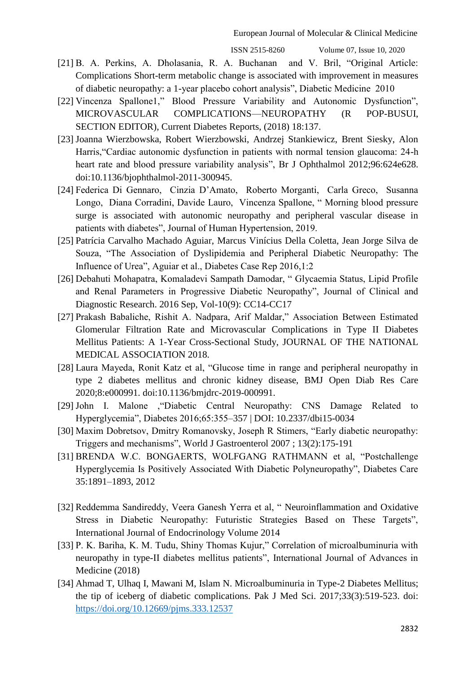- [21] B. A. Perkins, A. Dholasania, R. A. Buchanan and V. Bril, "Original Article: Complications Short-term metabolic change is associated with improvement in measures of diabetic neuropathy: a 1-year placebo cohort analysis", Diabetic Medicine 2010
- [22] Vincenza Spallone1," Blood Pressure Variability and Autonomic Dysfunction", MICROVASCULAR COMPLICATIONS—NEUROPATHY (R POP-BUSUI, SECTION EDITOR), Current Diabetes Reports, (2018) 18:137.
- [23] Joanna Wierzbowska, Robert Wierzbowski, Andrzej Stankiewicz, Brent Siesky, Alon Harris, "Cardiac autonomic dysfunction in patients with normal tension glaucoma: 24-h heart rate and blood pressure variability analysis", Br J Ophthalmol 2012;96:624e628. doi:10.1136/bjophthalmol-2011-300945.
- [24] Federica Di Gennaro, Cinzia D'Amato, Roberto Morganti, Carla Greco, Susanna Longo, Diana Corradini, Davide Lauro, Vincenza Spallone, "Morning blood pressure surge is associated with autonomic neuropathy and peripheral vascular disease in patients with diabetes", Journal of Human Hypertension, 2019.
- [25] Patrícia Carvalho Machado Aguiar, Marcus Vinícius Della Coletta, Jean Jorge Silva de Souza, "The Association of Dyslipidemia and Peripheral Diabetic Neuropathy: The Influence of Urea", Aguiar et al., Diabetes Case Rep 2016,1:2
- [26] Debahuti Mohapatra, Komaladevi Sampath Damodar, "Glycaemia Status, Lipid Profile and Renal Parameters in Progressive Diabetic Neuropathy", Journal of Clinical and Diagnostic Research. 2016 Sep, Vol-10(9): CC14-CC17
- [27] Prakash Babaliche, Rishit A. Nadpara, Arif Maldar," Association Between Estimated Glomerular Filtration Rate and Microvascular Complications in Type II Diabetes Mellitus Patients: A 1-Year Cross-Sectional Study, JOURNAL OF THE NATIONAL MEDICAL ASSOCIATION 2018.
- [28] Laura Mayeda, Ronit Katz et al, "Glucose time in range and peripheral neuropathy in type 2 diabetes mellitus and chronic kidney disease, BMJ Open Diab Res Care 2020;8:e000991. doi:10.1136/bmjdrc-2019-000991.
- [29] John I. Malone , "Diabetic Central Neuropathy: CNS Damage Related to Hyperglycemia‖, Diabetes 2016;65:355–357 | DOI: 10.2337/dbi15-0034
- [30] Maxim Dobretsov, Dmitry Romanovsky, Joseph R Stimers, "Early diabetic neuropathy: Triggers and mechanisms‖, World J Gastroenterol 2007 ; 13(2):175-191
- [31] BRENDA W.C. BONGAERTS, WOLFGANG RATHMANN et al, "Postchallenge Hyperglycemia Is Positively Associated With Diabetic Polyneuropathy", Diabetes Care 35:1891–1893, 2012
- [32] Reddemma Sandireddy, Veera Ganesh Yerra et al, "Neuroinflammation and Oxidative Stress in Diabetic Neuropathy: Futuristic Strategies Based on These Targets", International Journal of Endocrinology Volume 2014
- [33] P. K. Bariha, K. M. Tudu, Shiny Thomas Kujur," Correlation of microalbuminuria with neuropathy in type-II diabetes mellitus patients", International Journal of Advances in Medicine (2018)
- [34] Ahmad T, Ulhaq I, Mawani M, Islam N. Microalbuminuria in Type-2 Diabetes Mellitus; the tip of iceberg of diabetic complications. Pak J Med Sci. 2017;33(3):519-523. doi: <https://doi.org/10.12669/pjms.333.12537>